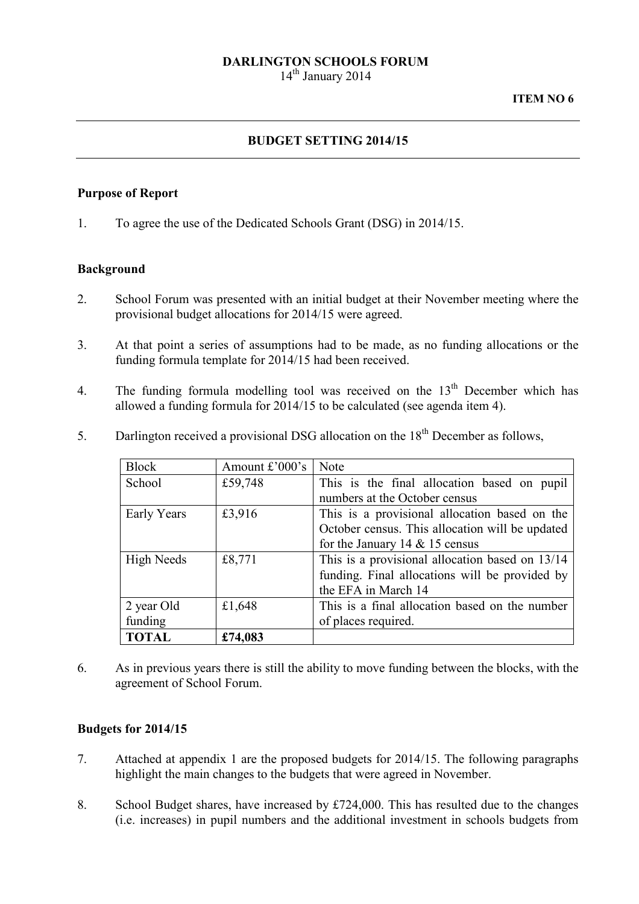# DARLINGTON SCHOOLS FORUM

14<sup>th</sup> January 2014

### BUDGET SETTING 2014/15

#### Purpose of Report

1. To agree the use of the Dedicated Schools Grant (DSG) in 2014/15.

### Background

- 2. School Forum was presented with an initial budget at their November meeting where the provisional budget allocations for 2014/15 were agreed.
- 3. At that point a series of assumptions had to be made, as no funding allocations or the funding formula template for 2014/15 had been received.
- 4. The funding formula modelling tool was received on the  $13<sup>th</sup>$  December which has allowed a funding formula for 2014/15 to be calculated (see agenda item 4).
- 5. Darlington received a provisional DSG allocation on the  $18<sup>th</sup>$  December as follows,

| Block             | Amount £'000's | <b>Note</b>                                       |  |  |
|-------------------|----------------|---------------------------------------------------|--|--|
| School            | £59,748        | This is the final allocation based on pupil       |  |  |
|                   |                | numbers at the October census                     |  |  |
| Early Years       | £3,916         | This is a provisional allocation based on the     |  |  |
|                   |                | October census. This allocation will be updated   |  |  |
|                   |                | for the January 14 $&$ 15 census                  |  |  |
| <b>High Needs</b> | £8,771         | This is a provisional allocation based on $13/14$ |  |  |
|                   |                | funding. Final allocations will be provided by    |  |  |
|                   |                | the EFA in March 14                               |  |  |
| 2 year Old        | £1,648         | This is a final allocation based on the number    |  |  |
| funding           |                | of places required.                               |  |  |
| <b>TOTAL</b>      | £74,083        |                                                   |  |  |

6. As in previous years there is still the ability to move funding between the blocks, with the agreement of School Forum.

### Budgets for 2014/15

- 7. Attached at appendix 1 are the proposed budgets for 2014/15. The following paragraphs highlight the main changes to the budgets that were agreed in November.
- 8. School Budget shares, have increased by £724,000. This has resulted due to the changes (i.e. increases) in pupil numbers and the additional investment in schools budgets from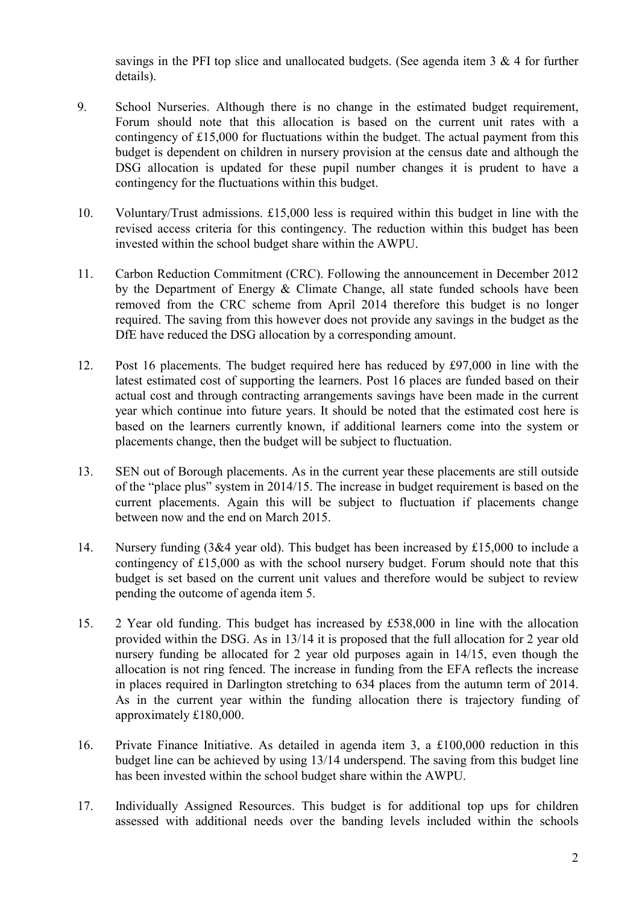savings in the PFI top slice and unallocated budgets. (See agenda item 3 & 4 for further details).

- 9. School Nurseries. Although there is no change in the estimated budget requirement, Forum should note that this allocation is based on the current unit rates with a contingency of £15,000 for fluctuations within the budget. The actual payment from this budget is dependent on children in nursery provision at the census date and although the DSG allocation is updated for these pupil number changes it is prudent to have a contingency for the fluctuations within this budget.
- 10. Voluntary/Trust admissions. £15,000 less is required within this budget in line with the revised access criteria for this contingency. The reduction within this budget has been invested within the school budget share within the AWPU.
- 11. Carbon Reduction Commitment (CRC). Following the announcement in December 2012 by the Department of Energy & Climate Change, all state funded schools have been removed from the CRC scheme from April 2014 therefore this budget is no longer required. The saving from this however does not provide any savings in the budget as the DfE have reduced the DSG allocation by a corresponding amount.
- 12. Post 16 placements. The budget required here has reduced by £97,000 in line with the latest estimated cost of supporting the learners. Post 16 places are funded based on their actual cost and through contracting arrangements savings have been made in the current year which continue into future years. It should be noted that the estimated cost here is based on the learners currently known, if additional learners come into the system or placements change, then the budget will be subject to fluctuation.
- 13. SEN out of Borough placements. As in the current year these placements are still outside of the "place plus" system in 2014/15. The increase in budget requirement is based on the current placements. Again this will be subject to fluctuation if placements change between now and the end on March 2015.
- 14. Nursery funding (3&4 year old). This budget has been increased by £15,000 to include a contingency of £15,000 as with the school nursery budget. Forum should note that this budget is set based on the current unit values and therefore would be subject to review pending the outcome of agenda item 5.
- 15. 2 Year old funding. This budget has increased by £538,000 in line with the allocation provided within the DSG. As in 13/14 it is proposed that the full allocation for 2 year old nursery funding be allocated for 2 year old purposes again in 14/15, even though the allocation is not ring fenced. The increase in funding from the EFA reflects the increase in places required in Darlington stretching to 634 places from the autumn term of 2014. As in the current year within the funding allocation there is trajectory funding of approximately £180,000.
- 16. Private Finance Initiative. As detailed in agenda item 3, a £100,000 reduction in this budget line can be achieved by using 13/14 underspend. The saving from this budget line has been invested within the school budget share within the AWPU.
- 17. Individually Assigned Resources. This budget is for additional top ups for children assessed with additional needs over the banding levels included within the schools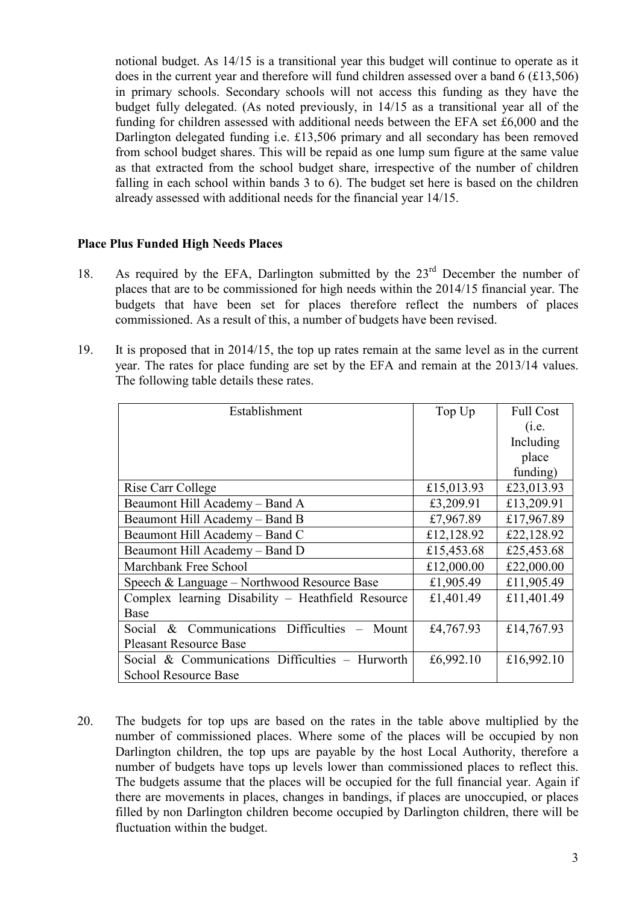notional budget. As 14/15 is a transitional year this budget will continue to operate as it does in the current year and therefore will fund children assessed over a band 6 (£13,506) in primary schools. Secondary schools will not access this funding as they have the budget fully delegated. (As noted previously, in 14/15 as a transitional year all of the funding for children assessed with additional needs between the EFA set £6,000 and the Darlington delegated funding i.e. £13,506 primary and all secondary has been removed from school budget shares. This will be repaid as one lump sum figure at the same value as that extracted from the school budget share, irrespective of the number of children falling in each school within bands 3 to 6). The budget set here is based on the children already assessed with additional needs for the financial year 14/15.

## Place Plus Funded High Needs Places

- 18. As required by the EFA, Darlington submitted by the 23rd December the number of places that are to be commissioned for high needs within the 2014/15 financial year. The budgets that have been set for places therefore reflect the numbers of places commissioned. As a result of this, a number of budgets have been revised.
- 19. It is proposed that in 2014/15, the top up rates remain at the same level as in the current year. The rates for place funding are set by the EFA and remain at the 2013/14 values. The following table details these rates.

| Establishment                                      | Top Up     | <b>Full Cost</b> |
|----------------------------------------------------|------------|------------------|
|                                                    |            | (i.e.            |
|                                                    |            | Including        |
|                                                    |            | place            |
|                                                    |            | funding)         |
| Rise Carr College                                  | £15,013.93 | £23,013.93       |
| Beaumont Hill Academy - Band A                     | £3,209.91  | £13,209.91       |
| Beaumont Hill Academy - Band B                     | £7,967.89  | £17,967.89       |
| Beaumont Hill Academy - Band C                     | £12,128.92 | £22,128.92       |
| Beaumont Hill Academy - Band D                     | £15,453.68 | £25,453.68       |
| Marchbank Free School                              | £12,000.00 | £22,000.00       |
| Speech & Language – Northwood Resource Base        | £1,905.49  | £11,905.49       |
| Complex learning Disability - Heathfield Resource  | £1,401.49  | £11,401.49       |
| Base                                               |            |                  |
| & Communications Difficulties<br>Social<br>– Mount | £4,767.93  | £14,767.93       |
| <b>Pleasant Resource Base</b>                      |            |                  |
| Social & Communications Difficulties - Hurworth    | £6,992.10  | £16,992.10       |
| <b>School Resource Base</b>                        |            |                  |

20. The budgets for top ups are based on the rates in the table above multiplied by the number of commissioned places. Where some of the places will be occupied by non Darlington children, the top ups are payable by the host Local Authority, therefore a number of budgets have tops up levels lower than commissioned places to reflect this. The budgets assume that the places will be occupied for the full financial year. Again if there are movements in places, changes in bandings, if places are unoccupied, or places filled by non Darlington children become occupied by Darlington children, there will be fluctuation within the budget.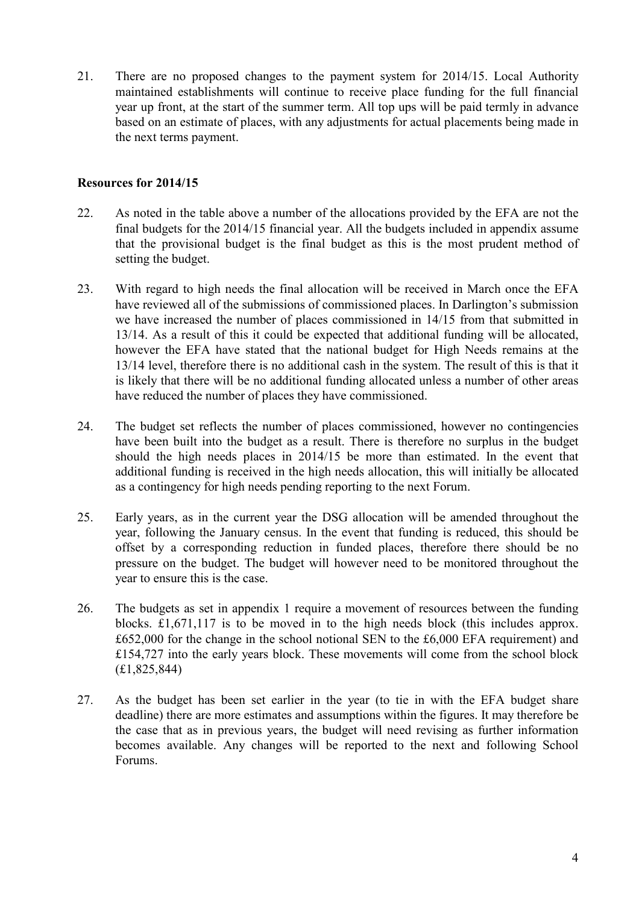21. There are no proposed changes to the payment system for 2014/15. Local Authority maintained establishments will continue to receive place funding for the full financial year up front, at the start of the summer term. All top ups will be paid termly in advance based on an estimate of places, with any adjustments for actual placements being made in the next terms payment.

## Resources for 2014/15

- 22. As noted in the table above a number of the allocations provided by the EFA are not the final budgets for the 2014/15 financial year. All the budgets included in appendix assume that the provisional budget is the final budget as this is the most prudent method of setting the budget.
- 23. With regard to high needs the final allocation will be received in March once the EFA have reviewed all of the submissions of commissioned places. In Darlington's submission we have increased the number of places commissioned in 14/15 from that submitted in 13/14. As a result of this it could be expected that additional funding will be allocated, however the EFA have stated that the national budget for High Needs remains at the 13/14 level, therefore there is no additional cash in the system. The result of this is that it is likely that there will be no additional funding allocated unless a number of other areas have reduced the number of places they have commissioned.
- 24. The budget set reflects the number of places commissioned, however no contingencies have been built into the budget as a result. There is therefore no surplus in the budget should the high needs places in 2014/15 be more than estimated. In the event that additional funding is received in the high needs allocation, this will initially be allocated as a contingency for high needs pending reporting to the next Forum.
- 25. Early years, as in the current year the DSG allocation will be amended throughout the year, following the January census. In the event that funding is reduced, this should be offset by a corresponding reduction in funded places, therefore there should be no pressure on the budget. The budget will however need to be monitored throughout the year to ensure this is the case.
- 26. The budgets as set in appendix 1 require a movement of resources between the funding blocks. £1,671,117 is to be moved in to the high needs block (this includes approx. £652,000 for the change in the school notional SEN to the £6,000 EFA requirement) and £154,727 into the early years block. These movements will come from the school block (£1,825,844)
- 27. As the budget has been set earlier in the year (to tie in with the EFA budget share deadline) there are more estimates and assumptions within the figures. It may therefore be the case that as in previous years, the budget will need revising as further information becomes available. Any changes will be reported to the next and following School Forums.